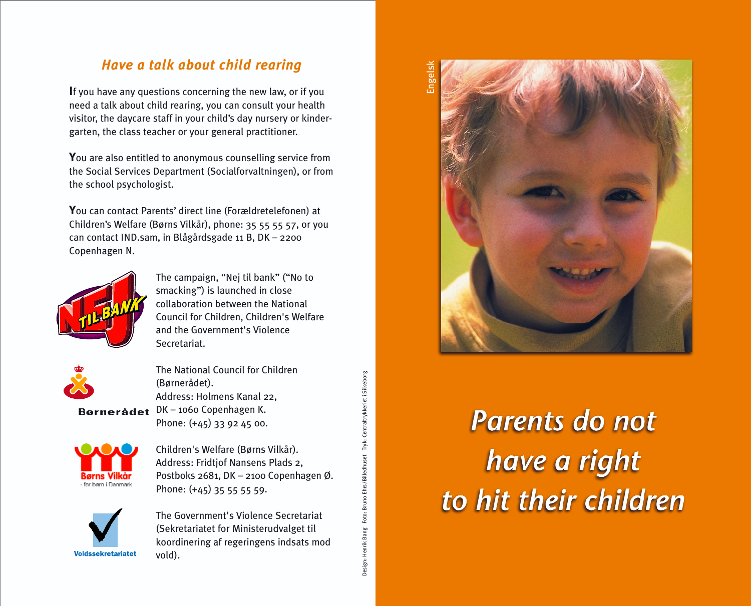## *Have a talk about child rearing*

**I**f you have any questions concerning the new law, or if you need a talk about child rearing, you can consult your health visitor, the daycare staff in your child's day nursery or kindergarten, the class teacher or your general practitioner.

**Y**ou are also entitled to anonymous counselling service from the Social Services Department (Socialforvaltningen), or from the school psychologist.

**Y**ou can contact Parents' direct line (Forældretelefonen) at Children's Welfare (Børns Vilkår), phone: 35 55 55 57, or you can contact IND.sam, in Blågårdsgade 11 B, DK – 2200 Copenhagen N.



The campaign, "Nej til bank" ("No to smacking") is launched in close collaboration between the National Council for Children, Children's Welfare and the Government's Violence Secretariat.



The National Council for Children (Børnerådet). Address: Holmens Kanal 22, Bornerådet DK-1060 Copenhagen K. Phone: (+45) 33 92 45 00.



Children's Welfare (Børns Vilkår). Address: Fridtjof Nansens Plads 2, Postboks 2681, DK – 2100 Copenhagen Ø. Phone: (+45) 35 55 55 59.

Design: Henrik Bang Foto: Bruno Ehrs/Billedhuset Tryk: Centraltrykkeriet i Silkeborg

Design: Henrik Bang Foto: Bruno Ehrs/Billedhuset Tryk: Centraltrykkeriet i Silkeborg



The Government's Violence Secretariat (Sekretariatet for Ministerudvalget til koordinering af regeringens indsats mod vold).



# Parents do not have a right to hit their children